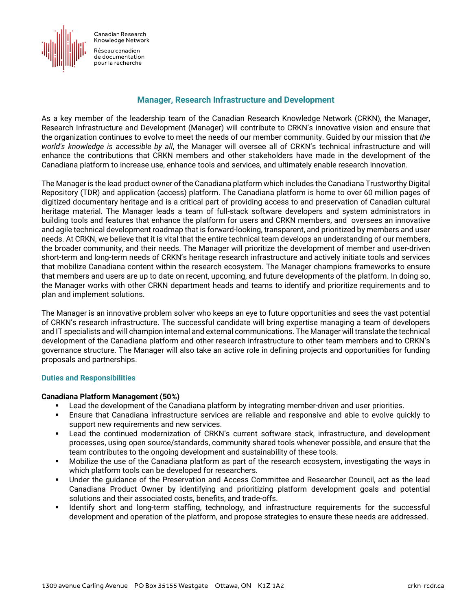

Réseau canadien de documentation pour la recherche

## **Manager, Research Infrastructure and Development**

As a key member of the leadership team of the Canadian Research Knowledge Network (CRKN), the Manager, Research Infrastructure and Development (Manager) will contribute to CRKN's innovative vision and ensure that the organization continues to evolve to meet the needs of our member community. Guided by our mission that *the world's knowledge is accessible by all*, the Manager will oversee all of CRKN's technical infrastructure and will enhance the contributions that CRKN members and other stakeholders have made in the development of the Canadiana platform to increase use, enhance tools and services, and ultimately enable research innovation.

The Manager is the lead product owner of the Canadiana platform which includes the Canadiana Trustworthy Digital Repository (TDR) and application (access) platform. The Canadiana platform is home to over 60 million pages of digitized documentary heritage and is a critical part of providing access to and preservation of Canadian cultural heritage material. The Manager leads a team of full-stack software developers and system administrators in building tools and features that enhance the platform for users and CRKN members, and oversees an innovative and agile technical development roadmap that is forward-looking, transparent, and prioritized by members and user needs. At CRKN, we believe that it is vital that the entire technical team develops an understanding of our members, the broader community, and their needs. The Manager will prioritize the development of member and user-driven short-term and long-term needs of CRKN's heritage research infrastructure and actively initiate tools and services that mobilize Canadiana content within the research ecosystem. The Manager champions frameworks to ensure that members and users are up to date on recent, upcoming, and future developments of the platform. In doing so, the Manager works with other CRKN department heads and teams to identify and prioritize requirements and to plan and implement solutions.

The Manager is an innovative problem solver who keeps an eye to future opportunities and sees the vast potential of CRKN's research infrastructure. The successful candidate will bring expertise managing a team of developers and IT specialists and will champion internal and external communications. The Manager will translate the technical development of the Canadiana platform and other research infrastructure to other team members and to CRKN's governance structure. The Manager will also take an active role in defining projects and opportunities for funding proposals and partnerships.

#### **Duties and Responsibilities**

#### **Canadiana Platform Management (50%)**

- **EXECT ADDET LEAD TE ADDET LEAD TE ADDET** Lead the development of the Canadiana formulas.
- Ensure that Canadiana infrastructure services are reliable and responsive and able to evolve quickly to support new requirements and new services.
- Lead the continued modernization of CRKN's current software stack, infrastructure, and development processes, using open source/standards, community shared tools whenever possible, and ensure that the team contributes to the ongoing development and sustainability of these tools.
- Mobilize the use of the Canadiana platform as part of the research ecosystem, investigating the ways in which platform tools can be developed for researchers.
- Under the guidance of the Preservation and Access Committee and Researcher Council, act as the lead Canadiana Product Owner by identifying and prioritizing platform development goals and potential solutions and their associated costs, benefits, and trade-offs.
- Identify short and long-term staffing, technology, and infrastructure requirements for the successful development and operation of the platform, and propose strategies to ensure these needs are addressed.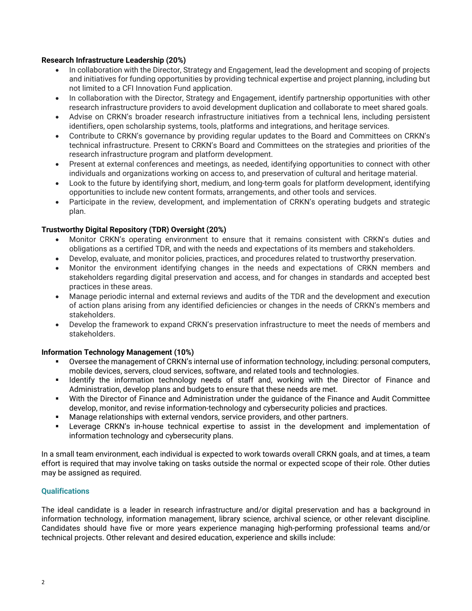## **Research Infrastructure Leadership (20%)**

- In collaboration with the Director, Strategy and Engagement, lead the development and scoping of projects and initiatives for funding opportunities by providing technical expertise and project planning, including but not limited to a CFI Innovation Fund application.
- In collaboration with the Director, Strategy and Engagement, identify partnership opportunities with other research infrastructure providers to avoid development duplication and collaborate to meet shared goals.
- Advise on CRKN's broader research infrastructure initiatives from a technical lens, including persistent identifiers, open scholarship systems, tools, platforms and integrations, and heritage services.
- Contribute to CRKN's governance by providing regular updates to the Board and Committees on CRKN's technical infrastructure. Present to CRKN's Board and Committees on the strategies and priorities of the research infrastructure program and platform development.
- Present at external conferences and meetings, as needed, identifying opportunities to connect with other individuals and organizations working on access to, and preservation of cultural and heritage material.
- Look to the future by identifying short, medium, and long-term goals for platform development, identifying opportunities to include new content formats, arrangements, and other tools and services.
- Participate in the review, development, and implementation of CRKN's operating budgets and strategic plan.

# **Trustworthy Digital Repository (TDR) Oversight (20%)**

- Monitor CRKN's operating environment to ensure that it remains consistent with CRKN's duties and obligations as a certified TDR, and with the needs and expectations of its members and stakeholders.
- Develop, evaluate, and monitor policies, practices, and procedures related to trustworthy preservation.
- Monitor the environment identifying changes in the needs and expectations of CRKN members and stakeholders regarding digital preservation and access, and for changes in standards and accepted best practices in these areas.
- Manage periodic internal and external reviews and audits of the TDR and the development and execution of action plans arising from any identified deficiencies or changes in the needs of CRKN's members and stakeholders.
- Develop the framework to expand CRKN's preservation infrastructure to meet the needs of members and stakeholders.

# **Information Technology Management (10%)**

- Oversee the management of CRKN's internal use of information technology, including: personal computers, mobile devices, servers, cloud services, software, and related tools and technologies.
- **IDENT IDENTIFY THE INTERTY IS STARK IDENTIFY IS NOT A HOTAL IS NOTENALY IS NOTENALY AND IDENTIFY THE INTERTY I** Administration, develop plans and budgets to ensure that these needs are met.
- With the Director of Finance and Administration under the guidance of the Finance and Audit Committee develop, monitor, and revise information-technology and cybersecurity policies and practices.
- Manage relationships with external vendors, service providers, and other partners.
- Leverage CRKN's in-house technical expertise to assist in the development and implementation of information technology and cybersecurity plans.

In a small team environment, each individual is expected to work towards overall CRKN goals, and at times, a team effort is required that may involve taking on tasks outside the normal or expected scope of their role. Other duties may be assigned as required.

#### **Qualifications**

The ideal candidate is a leader in research infrastructure and/or digital preservation and has a background in information technology, information management, library science, archival science, or other relevant discipline. Candidates should have five or more years experience managing high-performing professional teams and/or technical projects. Other relevant and desired education, experience and skills include: